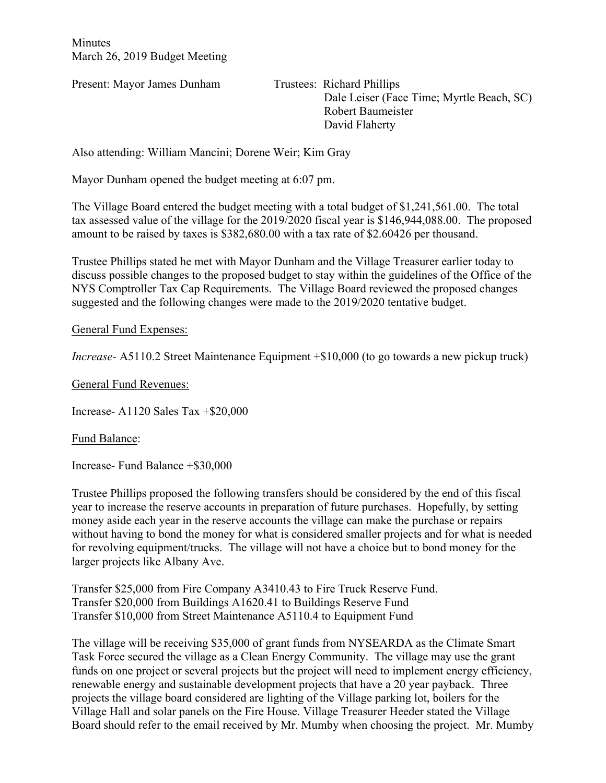**Minutes** March 26, 2019 Budget Meeting

Present: Mayor James Dunham Trustees: Richard Phillips

 Dale Leiser (Face Time; Myrtle Beach, SC) Robert Baumeister David Flaherty

Also attending: William Mancini; Dorene Weir; Kim Gray

Mayor Dunham opened the budget meeting at 6:07 pm.

The Village Board entered the budget meeting with a total budget of \$1,241,561.00. The total tax assessed value of the village for the 2019/2020 fiscal year is \$146,944,088.00. The proposed amount to be raised by taxes is \$382,680.00 with a tax rate of \$2.60426 per thousand.

Trustee Phillips stated he met with Mayor Dunham and the Village Treasurer earlier today to discuss possible changes to the proposed budget to stay within the guidelines of the Office of the NYS Comptroller Tax Cap Requirements. The Village Board reviewed the proposed changes suggested and the following changes were made to the 2019/2020 tentative budget.

## General Fund Expenses:

*Increase-* A5110.2 Street Maintenance Equipment +\$10,000 (to go towards a new pickup truck)

General Fund Revenues:

Increase- A1120 Sales Tax +\$20,000

Fund Balance:

Increase- Fund Balance +\$30,000

Trustee Phillips proposed the following transfers should be considered by the end of this fiscal year to increase the reserve accounts in preparation of future purchases. Hopefully, by setting money aside each year in the reserve accounts the village can make the purchase or repairs without having to bond the money for what is considered smaller projects and for what is needed for revolving equipment/trucks. The village will not have a choice but to bond money for the larger projects like Albany Ave.

Transfer \$25,000 from Fire Company A3410.43 to Fire Truck Reserve Fund. Transfer \$20,000 from Buildings A1620.41 to Buildings Reserve Fund Transfer \$10,000 from Street Maintenance A5110.4 to Equipment Fund

The village will be receiving \$35,000 of grant funds from NYSEARDA as the Climate Smart Task Force secured the village as a Clean Energy Community. The village may use the grant funds on one project or several projects but the project will need to implement energy efficiency, renewable energy and sustainable development projects that have a 20 year payback. Three projects the village board considered are lighting of the Village parking lot, boilers for the Village Hall and solar panels on the Fire House. Village Treasurer Heeder stated the Village Board should refer to the email received by Mr. Mumby when choosing the project. Mr. Mumby